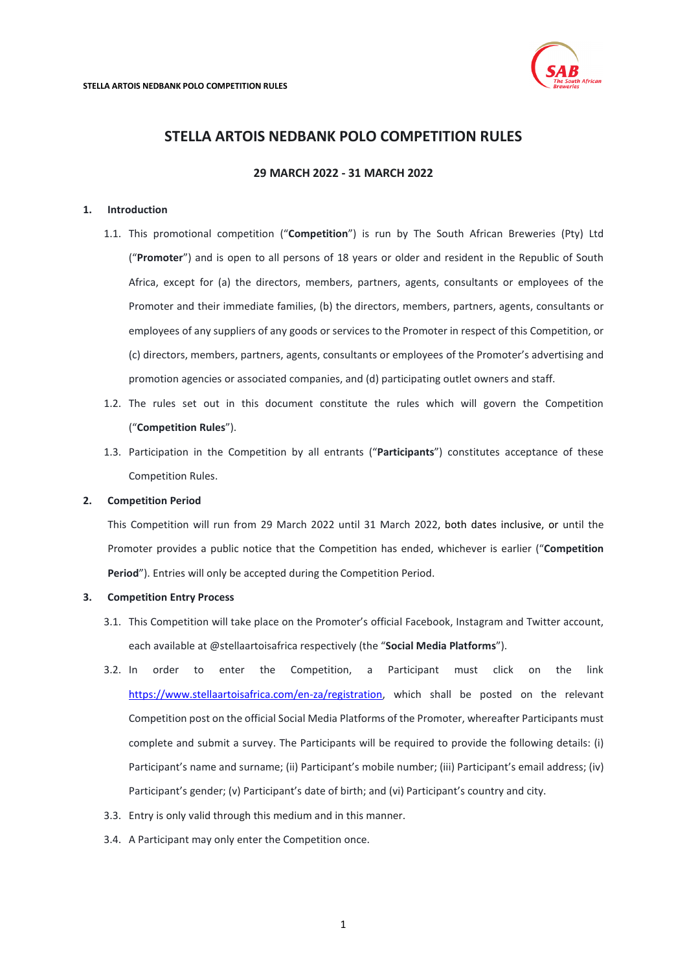

# **STELLA ARTOIS NEDBANK POLO COMPETITION RULES**

# **29 MARCH 2022 - 31 MARCH 2022**

### <span id="page-0-0"></span>**1. Introduction**

- 1.1. This promotional competition ("**Competition**") is run by The South African Breweries (Pty) Ltd ("**Promoter**") and is open to all persons of 18 years or older and resident in the Republic of South Africa, except for (a) the directors, members, partners, agents, consultants or employees of the Promoter and their immediate families, (b) the directors, members, partners, agents, consultants or employees of any suppliers of any goods or services to the Promoter in respect of this Competition, or (c) directors, members, partners, agents, consultants or employees of the Promoter's advertising and promotion agencies or associated companies, and (d) participating outlet owners and staff.
- 1.2. The rules set out in this document constitute the rules which will govern the Competition ("**Competition Rules**").
- 1.3. Participation in the Competition by all entrants ("**Participants**") constitutes acceptance of these Competition Rules.

### **2. Competition Period**

This Competition will run from 29 March 2022 until 31 March 2022, both dates inclusive, or until the Promoter provides a public notice that the Competition has ended, whichever is earlier ("**Competition Period**"). Entries will only be accepted during the Competition Period.

#### **3. Competition Entry Process**

- 3.1. This Competition will take place on the Promoter's official Facebook, Instagram and Twitter account, each available at @stellaartoisafrica respectively (the "**Social Media Platforms**").
- 3.2. In order to enter the Competition, a Participant must click on the link [https://www.stellaartoisafrica.com/en-za/registration,](https://www.stellaartoisafrica.com/en-za/registration) which shall be posted on the relevant Competition post on the official Social Media Platforms of the Promoter, whereafter Participants must complete and submit a survey. The Participants will be required to provide the following details: (i) Participant's name and surname; (ii) Participant's mobile number; (iii) Participant's email address; (iv) Participant's gender; (v) Participant's date of birth; and (vi) Participant's country and city.
- 3.3. Entry is only valid through this medium and in this manner.
- 3.4. A Participant may only enter the Competition once.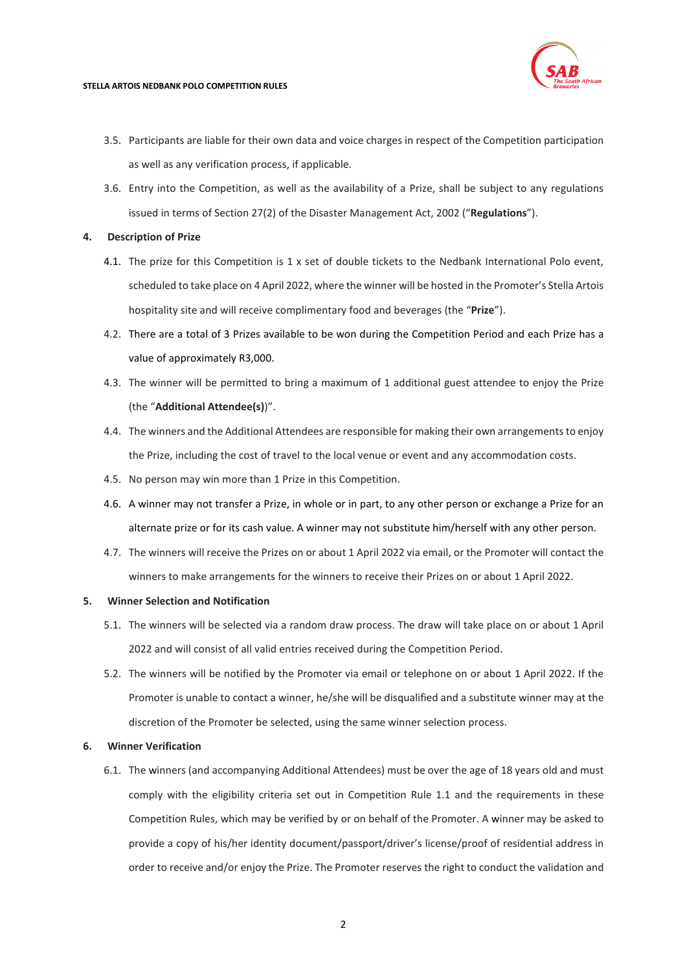

#### **STELLA ARTOIS NEDBANK POLO COMPETITION RULES**

- 3.5. Participants are liable for their own data and voice charges in respect of the Competition participation as well as any verification process, if applicable.
- 3.6. Entry into the Competition, as well as the availability of a Prize, shall be subject to any regulations issued in terms of Section 27(2) of the Disaster Management Act, 2002 ("**Regulations**").

# **4. Description of Prize**

- 4.1. The prize for this Competition is 1 x set of double tickets to the Nedbank International Polo event, scheduled to take place on 4 April 2022, where the winner will be hosted in the Promoter's Stella Artois hospitality site and will receive complimentary food and beverages (the "**Prize**").
- 4.2. There are a total of 3 Prizes available to be won during the Competition Period and each Prize has a value of approximately R3,000.
- 4.3. The winner will be permitted to bring a maximum of 1 additional guest attendee to enjoy the Prize (the "**Additional Attendee(s)**)".
- 4.4. The winners and the Additional Attendees are responsible for making their own arrangements to enjoy the Prize, including the cost of travel to the local venue or event and any accommodation costs.
- 4.5. No person may win more than 1 Prize in this Competition.
- 4.6. A winner may not transfer a Prize, in whole or in part, to any other person or exchange a Prize for an alternate prize or for its cash value. A winner may not substitute him/herself with any other person.
- 4.7. The winners will receive the Prizes on or about 1 April 2022 via email, or the Promoter will contact the winners to make arrangements for the winners to receive their Prizes on or about 1 April 2022.

# **5. Winner Selection and Notification**

- 5.1. The winners will be selected via a random draw process. The draw will take place on or about 1 April 2022 and will consist of all valid entries received during the Competition Period.
- 5.2. The winners will be notified by the Promoter via email or telephone on or about 1 April 2022. If the Promoter is unable to contact a winner, he/she will be disqualified and a substitute winner may at the discretion of the Promoter be selected, using the same winner selection process.

# **6. Winner Verification**

6.1. The winners (and accompanying Additional Attendees) must be over the age of 18 years old and must comply with the eligibility criteria set out in Competition Rule [1.1](#page-0-0) and the requirements in these Competition Rules, which may be verified by or on behalf of the Promoter. A winner may be asked to provide a copy of his/her identity document/passport/driver's license/proof of residential address in order to receive and/or enjoy the Prize. The Promoter reserves the right to conduct the validation and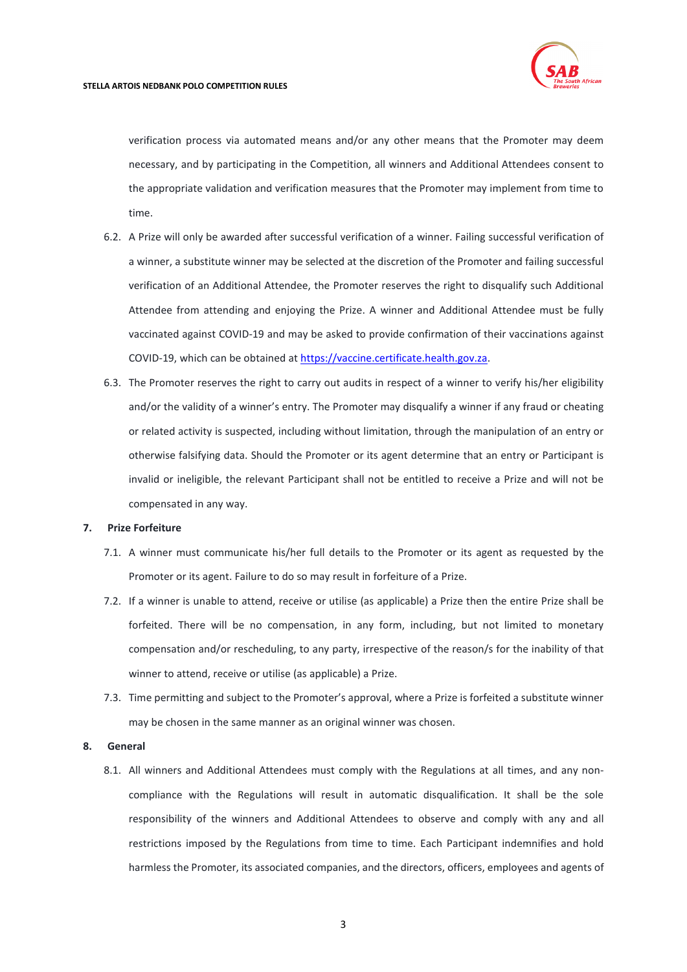

verification process via automated means and/or any other means that the Promoter may deem necessary, and by participating in the Competition, all winners and Additional Attendees consent to the appropriate validation and verification measures that the Promoter may implement from time to time.

- 6.2. A Prize will only be awarded after successful verification of a winner. Failing successful verification of a winner, a substitute winner may be selected at the discretion of the Promoter and failing successful verification of an Additional Attendee, the Promoter reserves the right to disqualify such Additional Attendee from attending and enjoying the Prize. A winner and Additional Attendee must be fully vaccinated against COVID-19 and may be asked to provide confirmation of their vaccinations against COVID-19, which can be obtained a[t https://vaccine.certificate.health.gov.za.](https://vaccine.certificate.health.gov.za/)
- 6.3. The Promoter reserves the right to carry out audits in respect of a winner to verify his/her eligibility and/or the validity of a winner's entry. The Promoter may disqualify a winner if any fraud or cheating or related activity is suspected, including without limitation, through the manipulation of an entry or otherwise falsifying data. Should the Promoter or its agent determine that an entry or Participant is invalid or ineligible, the relevant Participant shall not be entitled to receive a Prize and will not be compensated in any way.

#### **7. Prize Forfeiture**

- 7.1. A winner must communicate his/her full details to the Promoter or its agent as requested by the Promoter or its agent. Failure to do so may result in forfeiture of a Prize.
- 7.2. If a winner is unable to attend, receive or utilise (as applicable) a Prize then the entire Prize shall be forfeited. There will be no compensation, in any form, including, but not limited to monetary compensation and/or rescheduling, to any party, irrespective of the reason/s for the inability of that winner to attend, receive or utilise (as applicable) a Prize.
- 7.3. Time permitting and subject to the Promoter's approval, where a Prize is forfeited a substitute winner may be chosen in the same manner as an original winner was chosen.

#### **8. General**

8.1. All winners and Additional Attendees must comply with the Regulations at all times, and any noncompliance with the Regulations will result in automatic disqualification. It shall be the sole responsibility of the winners and Additional Attendees to observe and comply with any and all restrictions imposed by the Regulations from time to time. Each Participant indemnifies and hold harmless the Promoter, its associated companies, and the directors, officers, employees and agents of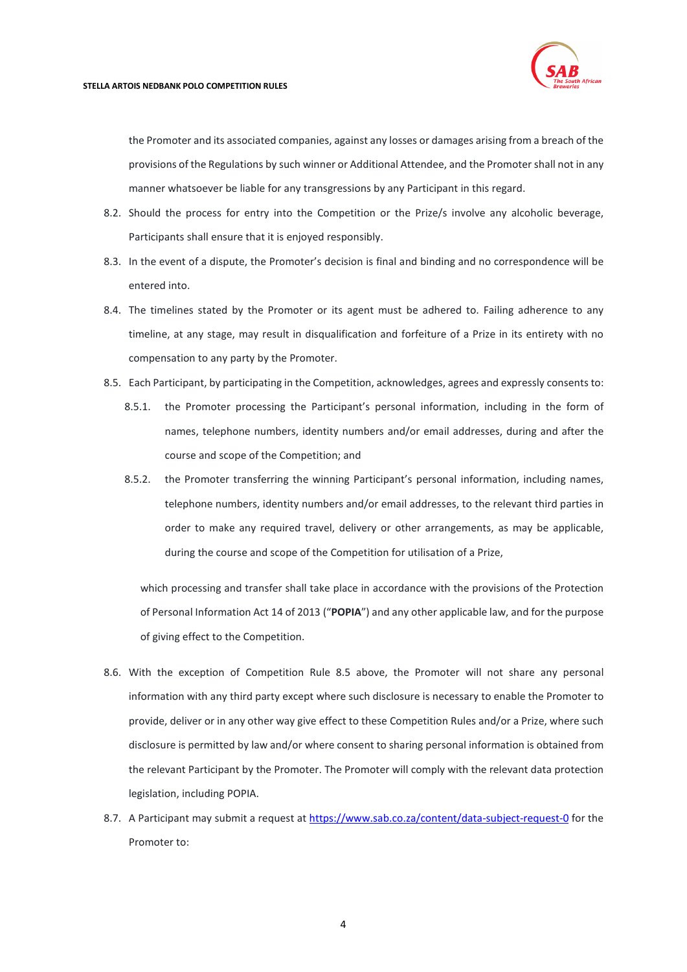

#### **STELLA ARTOIS NEDBANK POLO COMPETITION RULES**

the Promoter and its associated companies, against any losses or damages arising from a breach of the provisions of the Regulations by such winner or Additional Attendee, and the Promoter shall not in any manner whatsoever be liable for any transgressions by any Participant in this regard.

- 8.2. Should the process for entry into the Competition or the Prize/s involve any alcoholic beverage, Participants shall ensure that it is enjoyed responsibly.
- 8.3. In the event of a dispute, the Promoter's decision is final and binding and no correspondence will be entered into.
- 8.4. The timelines stated by the Promoter or its agent must be adhered to. Failing adherence to any timeline, at any stage, may result in disqualification and forfeiture of a Prize in its entirety with no compensation to any party by the Promoter.
- <span id="page-3-0"></span>8.5. Each Participant, by participating in the Competition, acknowledges, agrees and expressly consents to:
	- 8.5.1. the Promoter processing the Participant's personal information, including in the form of names, telephone numbers, identity numbers and/or email addresses, during and after the course and scope of the Competition; and
	- 8.5.2. the Promoter transferring the winning Participant's personal information, including names, telephone numbers, identity numbers and/or email addresses, to the relevant third parties in order to make any required travel, delivery or other arrangements, as may be applicable, during the course and scope of the Competition for utilisation of a Prize,

which processing and transfer shall take place in accordance with the provisions of the Protection of Personal Information Act 14 of 2013 ("**POPIA**") and any other applicable law, and for the purpose of giving effect to the Competition.

- 8.6. With the exception of Competition Rule [8.5](#page-3-0) above, the Promoter will not share any personal information with any third party except where such disclosure is necessary to enable the Promoter to provide, deliver or in any other way give effect to these Competition Rules and/or a Prize, where such disclosure is permitted by law and/or where consent to sharing personal information is obtained from the relevant Participant by the Promoter. The Promoter will comply with the relevant data protection legislation, including POPIA.
- 8.7. A Participant may submit a request at<https://www.sab.co.za/content/data-subject-request-0> for the Promoter to: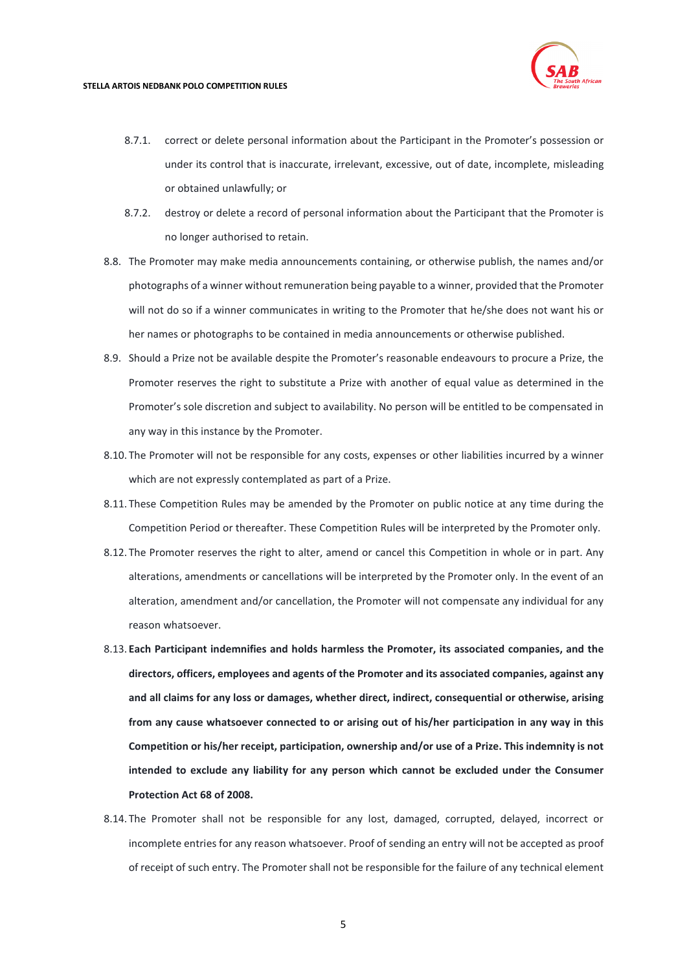

- 8.7.1. correct or delete personal information about the Participant in the Promoter's possession or under its control that is inaccurate, irrelevant, excessive, out of date, incomplete, misleading or obtained unlawfully; or
- 8.7.2. destroy or delete a record of personal information about the Participant that the Promoter is no longer authorised to retain.
- 8.8. The Promoter may make media announcements containing, or otherwise publish, the names and/or photographs of a winner without remuneration being payable to a winner, provided that the Promoter will not do so if a winner communicates in writing to the Promoter that he/she does not want his or her names or photographs to be contained in media announcements or otherwise published.
- 8.9. Should a Prize not be available despite the Promoter's reasonable endeavours to procure a Prize, the Promoter reserves the right to substitute a Prize with another of equal value as determined in the Promoter's sole discretion and subject to availability. No person will be entitled to be compensated in any way in this instance by the Promoter.
- 8.10. The Promoter will not be responsible for any costs, expenses or other liabilities incurred by a winner which are not expressly contemplated as part of a Prize.
- 8.11. These Competition Rules may be amended by the Promoter on public notice at any time during the Competition Period or thereafter. These Competition Rules will be interpreted by the Promoter only.
- 8.12. The Promoter reserves the right to alter, amend or cancel this Competition in whole or in part. Any alterations, amendments or cancellations will be interpreted by the Promoter only. In the event of an alteration, amendment and/or cancellation, the Promoter will not compensate any individual for any reason whatsoever.
- 8.13. **Each Participant indemnifies and holds harmless the Promoter, its associated companies, and the directors, officers, employees and agents of the Promoter and its associated companies, against any and all claims for any loss or damages, whether direct, indirect, consequential or otherwise, arising from any cause whatsoever connected to or arising out of his/her participation in any way in this Competition or his/her receipt, participation, ownership and/or use of a Prize. This indemnity is not intended to exclude any liability for any person which cannot be excluded under the Consumer Protection Act 68 of 2008.**
- 8.14. The Promoter shall not be responsible for any lost, damaged, corrupted, delayed, incorrect or incomplete entries for any reason whatsoever. Proof of sending an entry will not be accepted as proof of receipt of such entry. The Promoter shall not be responsible for the failure of any technical element